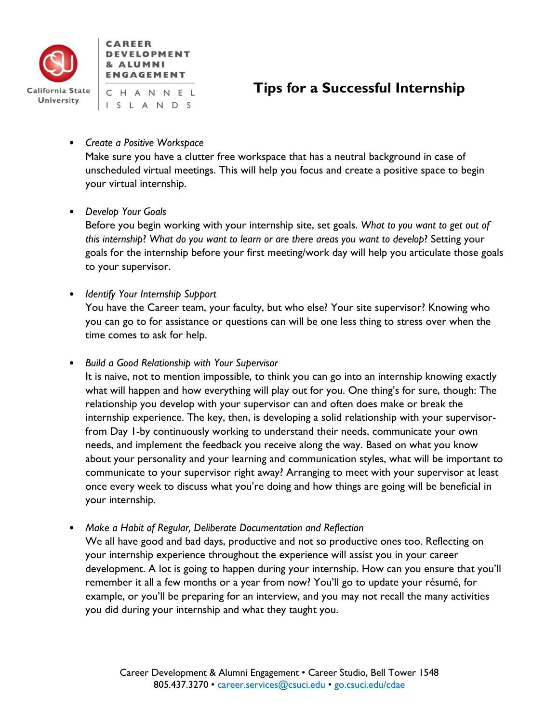

# **Tips for a Successful Internship**

• *Create a Positive Workspace*

Make sure you have a clutter free workspace that has a neutral background in case of unscheduled virtual meetings. This will help you focus and create a positive space to begin your virtual internship.

• *Develop Your Goals*

Before you begin working with your internship site, set goals. *What to you want to get out of this internship*? *What do you want to learn or are there areas you want to develop*? Setting your goals for the internship before your first meeting/work day will help you articulate those goals to your supervisor.

• *Identify Your Internship Support*

You have the Career team, your faculty, but who else? Your site supervisor? Knowing who you can go to for assistance or questions can will be one less thing to stress over when the time comes to ask for help.

• *Build a Good Relationship with Your Supervisor*

It is naive, not to mention impossible, to think you can go into an internship knowing exactly what will happen and how everything will play out for you. One thing's for sure, though: The relationship you develop with your supervisor can and often does make or break the internship experience. The key, then, is developing a solid relationship with your supervisorfrom Day 1-by continuously working to understand their needs, communicate your own needs, and implement the feedback you receive along the way. Based on what you know about your personality and your learning and communication styles, what will be important to communicate to your supervisor right away? Arranging to meet with your supervisor at least once every week to discuss what you're doing and how things are going will be beneficial in your internship.

• *Make a Habit of Regular, Deliberate Documentation and Reflection*

We all have good and bad days, productive and not so productive ones too. Reflecting on your internship experience throughout the experience will assist you in your career development. A lot is going to happen during your internship. How can you ensure that you'll remember it all a few months or a year from now? You'll go to update your résumé, for example, or you'll be preparing for an interview, and you may not recall the many activities you did during your internship and what they taught you.